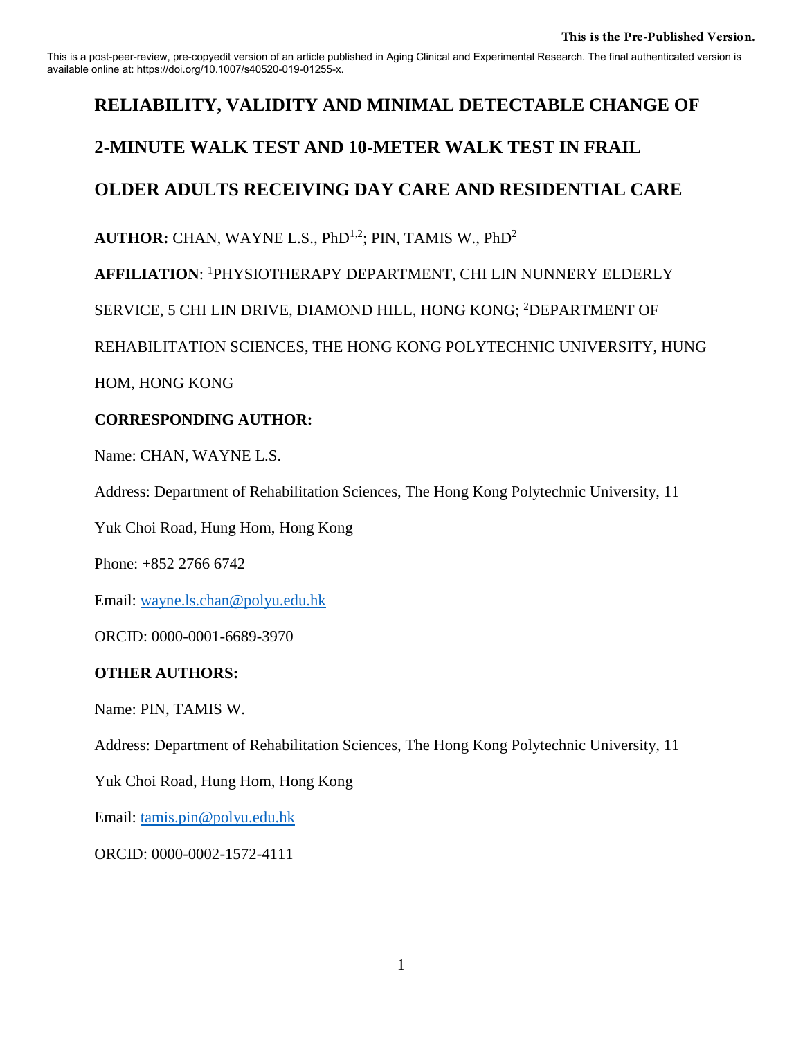This is a post-peer-review, pre-copyedit version of an article published in Aging Clinical and Experimental Research. The final authenticated version is available online at: https://doi.org/10.1007/s40520-019-01255-x.

# **RELIABILITY, VALIDITY AND MINIMAL DETECTABLE CHANGE OF**

# **2-MINUTE WALK TEST AND 10-METER WALK TEST IN FRAIL**

# **OLDER ADULTS RECEIVING DAY CARE AND RESIDENTIAL CARE**

AUTHOR: CHAN, WAYNE L.S., PhD<sup>1,2</sup>; PIN, TAMIS W., PhD<sup>2</sup>

**AFFILIATION**: <sup>1</sup>PHYSIOTHERAPY DEPARTMENT, CHI LIN NUNNERY ELDERLY

SERVICE, 5 CHI LIN DRIVE, DIAMOND HILL, HONG KONG; <sup>2</sup>DEPARTMENT OF

REHABILITATION SCIENCES, THE HONG KONG POLYTECHNIC UNIVERSITY, HUNG

HOM, HONG KONG

# **CORRESPONDING AUTHOR:**

Name: CHAN, WAYNE L.S.

Address: Department of Rehabilitation Sciences, The Hong Kong Polytechnic University, 11

Yuk Choi Road, Hung Hom, Hong Kong

Phone: +852 2766 6742

Email: [wayne.ls.chan@polyu.edu.hk](mailto:wayne.ls.chan@polyu.edu.hk)

ORCID: 0000-0001-6689-3970

# **OTHER AUTHORS:**

Name: PIN, TAMIS W.

Address: Department of Rehabilitation Sciences, The Hong Kong Polytechnic University, 11

Yuk Choi Road, Hung Hom, Hong Kong

Email: [tamis.pin@polyu.edu.hk](mailto:tamis.pin@polyu.edu.hk)

ORCID: 0000-0002-1572-4111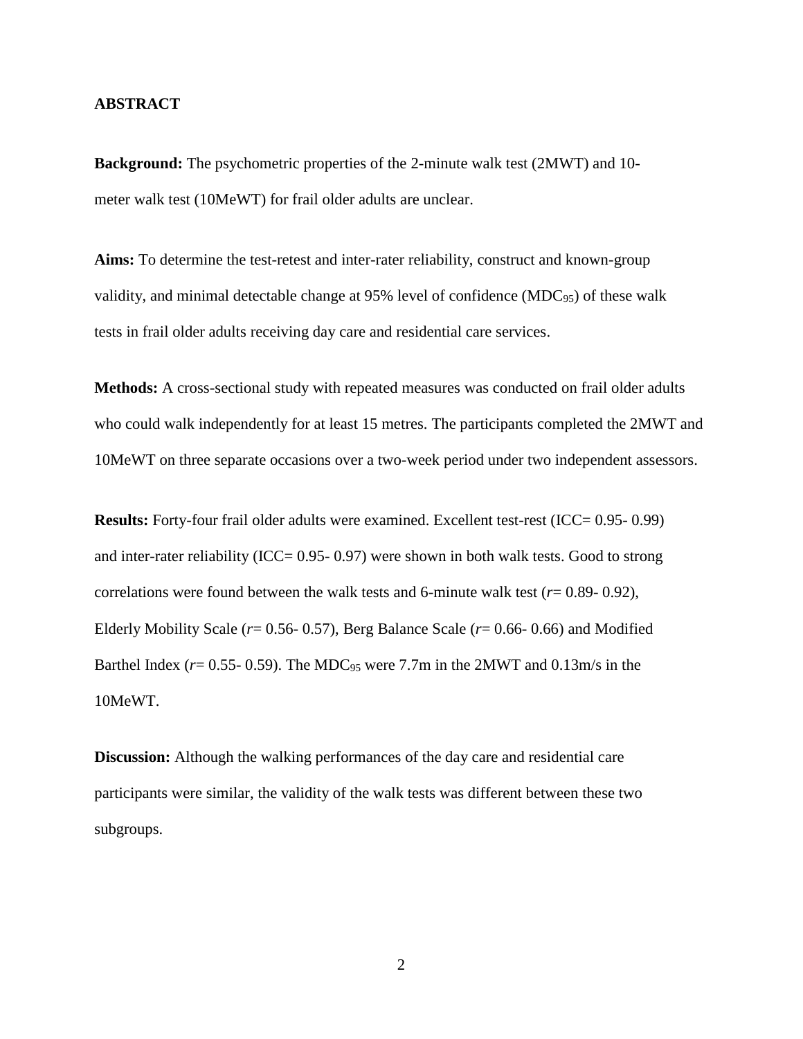## **ABSTRACT**

**Background:** The psychometric properties of the 2-minute walk test (2MWT) and 10 meter walk test (10MeWT) for frail older adults are unclear.

**Aims:** To determine the test-retest and inter-rater reliability, construct and known-group validity, and minimal detectable change at 95% level of confidence (MDC95) of these walk tests in frail older adults receiving day care and residential care services.

**Methods:** A cross-sectional study with repeated measures was conducted on frail older adults who could walk independently for at least 15 metres. The participants completed the 2MWT and 10MeWT on three separate occasions over a two-week period under two independent assessors.

**Results:** Forty-four frail older adults were examined. Excellent test-rest (ICC= 0.95- 0.99) and inter-rater reliability (ICC= 0.95- 0.97) were shown in both walk tests. Good to strong correlations were found between the walk tests and 6-minute walk test  $(r=0.89-0.92)$ , Elderly Mobility Scale (*r*= 0.56- 0.57), Berg Balance Scale (*r*= 0.66- 0.66) and Modified Barthel Index ( $r = 0.55 - 0.59$ ). The MDC<sub>95</sub> were 7.7m in the 2MWT and 0.13m/s in the 10MeWT.

**Discussion:** Although the walking performances of the day care and residential care participants were similar, the validity of the walk tests was different between these two subgroups.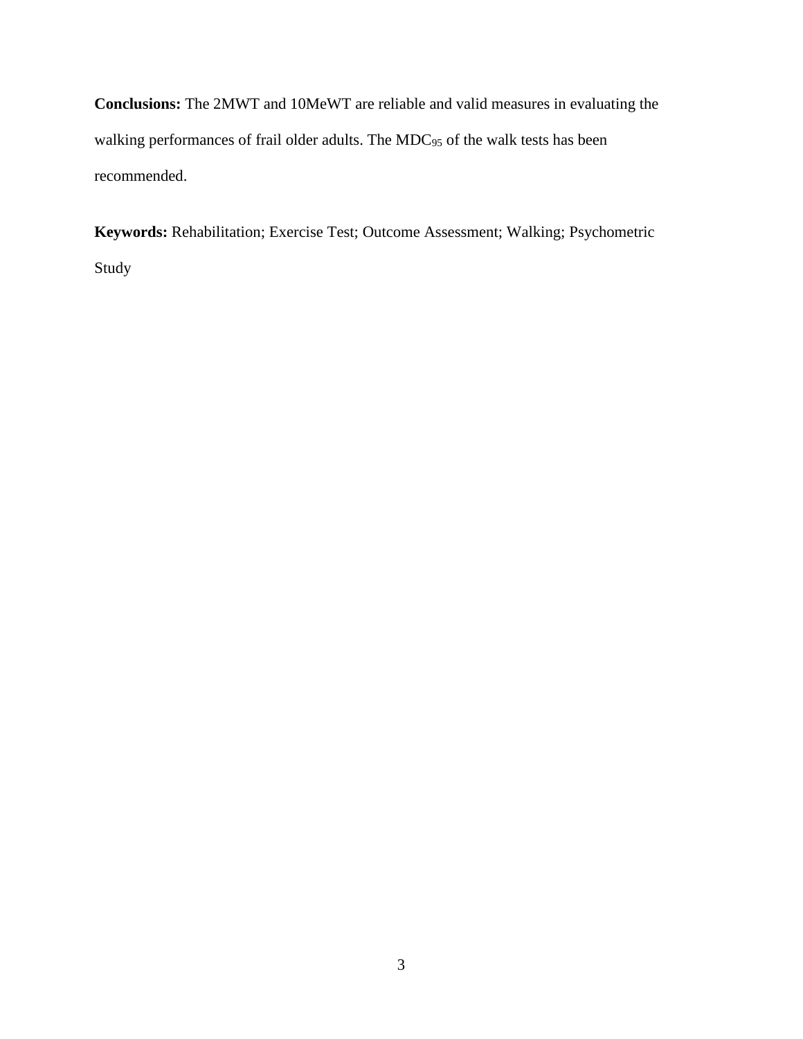**Conclusions:** The 2MWT and 10MeWT are reliable and valid measures in evaluating the walking performances of frail older adults. The MDC<sub>95</sub> of the walk tests has been recommended.

**Keywords:** Rehabilitation; Exercise Test; Outcome Assessment; Walking; Psychometric Study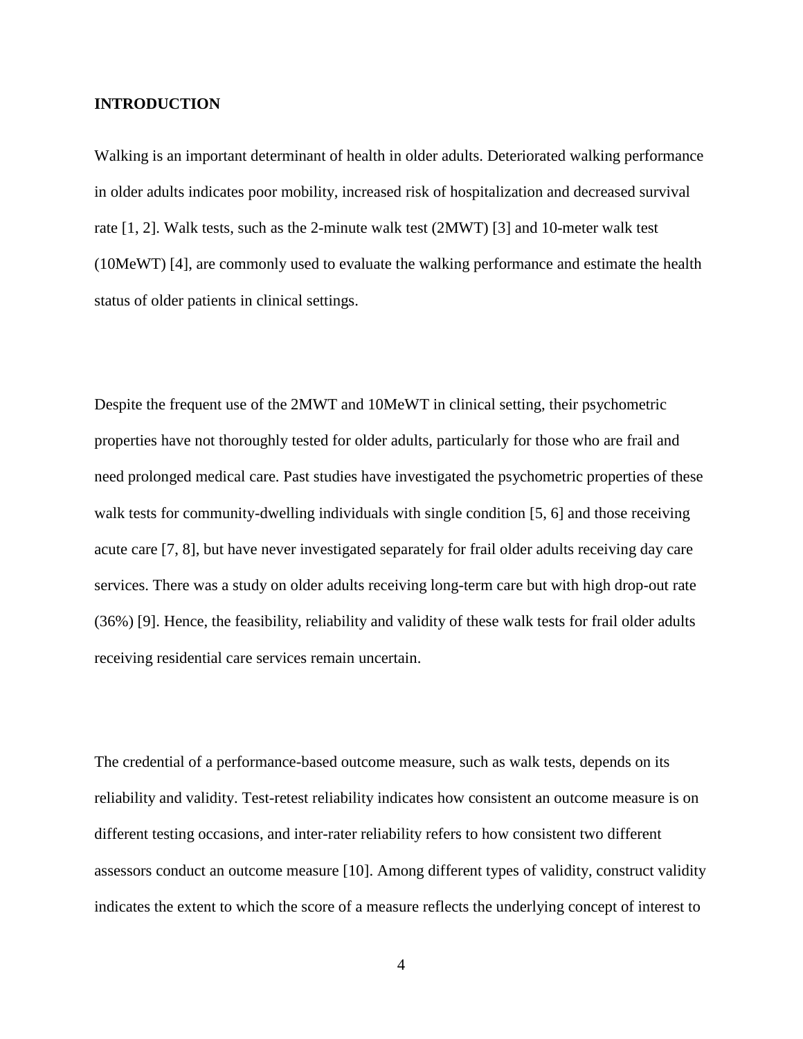## **INTRODUCTION**

Walking is an important determinant of health in older adults. Deteriorated walking performance in older adults indicates poor mobility, increased risk of hospitalization and decreased survival rate [1, 2]. Walk tests, such as the 2-minute walk test (2MWT) [3] and 10-meter walk test (10MeWT) [4], are commonly used to evaluate the walking performance and estimate the health status of older patients in clinical settings.

Despite the frequent use of the 2MWT and 10MeWT in clinical setting, their psychometric properties have not thoroughly tested for older adults, particularly for those who are frail and need prolonged medical care. Past studies have investigated the psychometric properties of these walk tests for community-dwelling individuals with single condition [5, 6] and those receiving acute care [7, 8], but have never investigated separately for frail older adults receiving day care services. There was a study on older adults receiving long-term care but with high drop-out rate (36%) [9]. Hence, the feasibility, reliability and validity of these walk tests for frail older adults receiving residential care services remain uncertain.

The credential of a performance-based outcome measure, such as walk tests, depends on its reliability and validity. Test-retest reliability indicates how consistent an outcome measure is on different testing occasions, and inter-rater reliability refers to how consistent two different assessors conduct an outcome measure [10]. Among different types of validity, construct validity indicates the extent to which the score of a measure reflects the underlying concept of interest to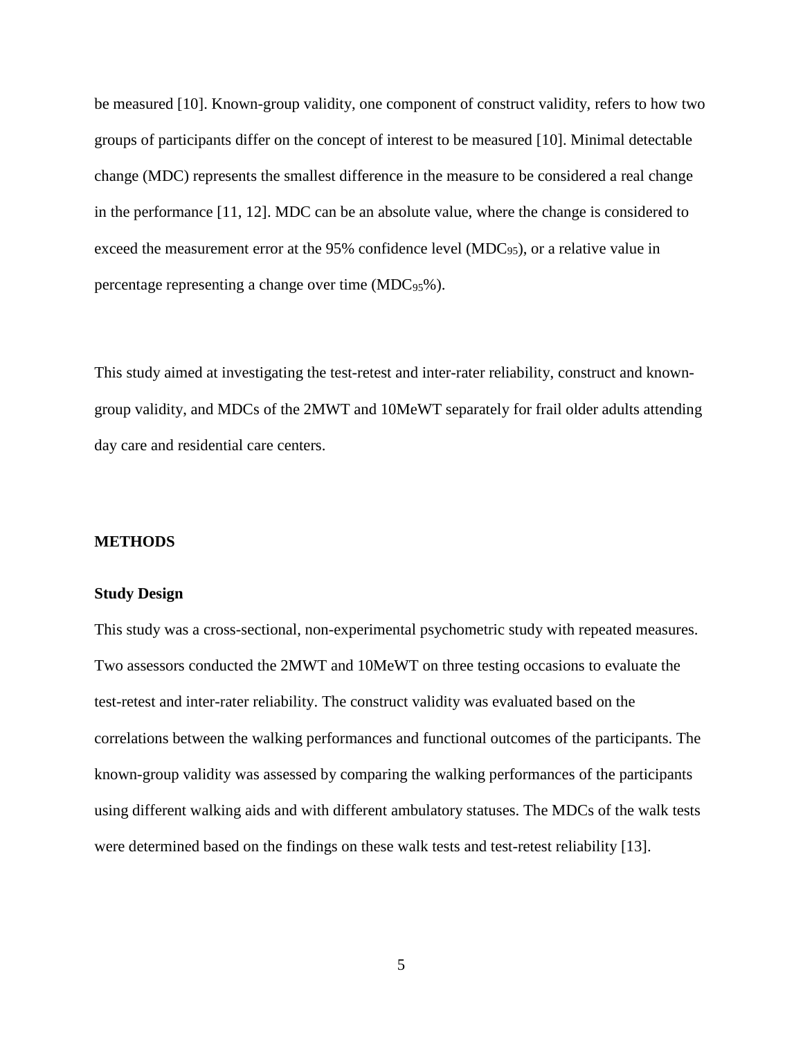be measured [10]. Known-group validity, one component of construct validity, refers to how two groups of participants differ on the concept of interest to be measured [10]. Minimal detectable change (MDC) represents the smallest difference in the measure to be considered a real change in the performance [11, 12]. MDC can be an absolute value, where the change is considered to exceed the measurement error at the 95% confidence level (MDC<sub>95</sub>), or a relative value in percentage representing a change over time (MDC<sub>95</sub>%).

This study aimed at investigating the test-retest and inter-rater reliability, construct and knowngroup validity, and MDCs of the 2MWT and 10MeWT separately for frail older adults attending day care and residential care centers.

# **METHODS**

#### **Study Design**

This study was a cross-sectional, non-experimental psychometric study with repeated measures. Two assessors conducted the 2MWT and 10MeWT on three testing occasions to evaluate the test-retest and inter-rater reliability. The construct validity was evaluated based on the correlations between the walking performances and functional outcomes of the participants. The known-group validity was assessed by comparing the walking performances of the participants using different walking aids and with different ambulatory statuses. The MDCs of the walk tests were determined based on the findings on these walk tests and test-retest reliability [13].

5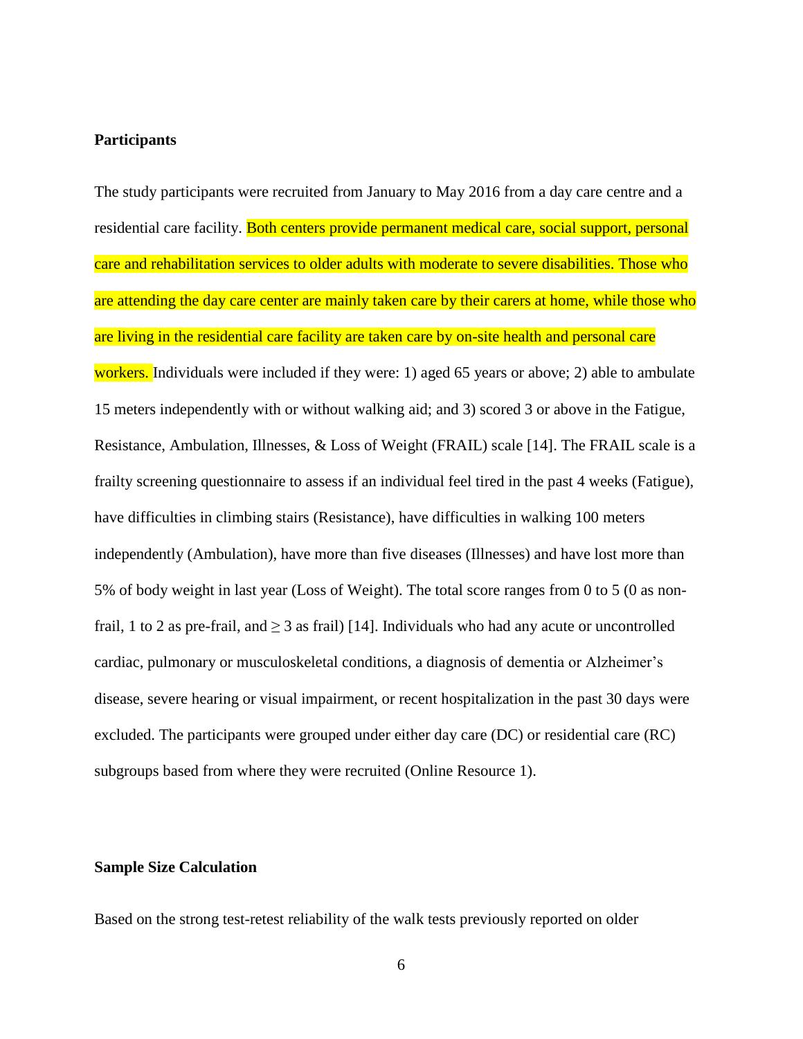# **Participants**

The study participants were recruited from January to May 2016 from a day care centre and a residential care facility. Both centers provide permanent medical care, social support, personal care and rehabilitation services to older adults with moderate to severe disabilities. Those who are attending the day care center are mainly taken care by their carers at home, while those who are living in the residential care facility are taken care by on-site health and personal care workers. Individuals were included if they were: 1) aged 65 years or above; 2) able to ambulate 15 meters independently with or without walking aid; and 3) scored 3 or above in the Fatigue, Resistance, Ambulation, Illnesses, & Loss of Weight (FRAIL) scale [14]. The FRAIL scale is a frailty screening questionnaire to assess if an individual feel tired in the past 4 weeks (Fatigue), have difficulties in climbing stairs (Resistance), have difficulties in walking 100 meters independently (Ambulation), have more than five diseases (Illnesses) and have lost more than 5% of body weight in last year (Loss of Weight). The total score ranges from 0 to 5 (0 as nonfrail, 1 to 2 as pre-frail, and  $\geq$  3 as frail) [14]. Individuals who had any acute or uncontrolled cardiac, pulmonary or musculoskeletal conditions, a diagnosis of dementia or Alzheimer's disease, severe hearing or visual impairment, or recent hospitalization in the past 30 days were excluded. The participants were grouped under either day care (DC) or residential care (RC) subgroups based from where they were recruited (Online Resource 1).

#### **Sample Size Calculation**

Based on the strong test-retest reliability of the walk tests previously reported on older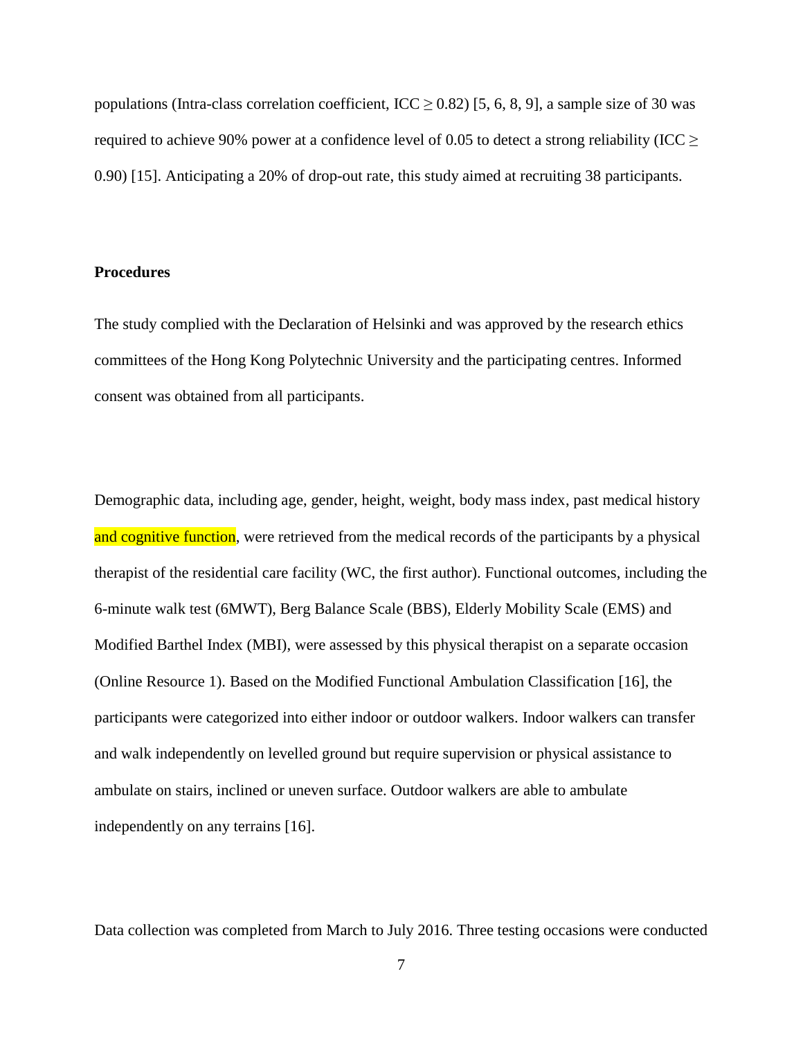populations (Intra-class correlation coefficient, ICC  $\geq$  0.82) [5, 6, 8, 9], a sample size of 30 was required to achieve 90% power at a confidence level of 0.05 to detect a strong reliability (ICC  $\geq$ 0.90) [15]. Anticipating a 20% of drop-out rate, this study aimed at recruiting 38 participants.

#### **Procedures**

The study complied with the Declaration of Helsinki and was approved by the research ethics committees of the Hong Kong Polytechnic University and the participating centres. Informed consent was obtained from all participants.

Demographic data, including age, gender, height, weight, body mass index, past medical history and cognitive function, were retrieved from the medical records of the participants by a physical therapist of the residential care facility (WC, the first author). Functional outcomes, including the 6-minute walk test (6MWT), Berg Balance Scale (BBS), Elderly Mobility Scale (EMS) and Modified Barthel Index (MBI), were assessed by this physical therapist on a separate occasion (Online Resource 1). Based on the Modified Functional Ambulation Classification [16], the participants were categorized into either indoor or outdoor walkers. Indoor walkers can transfer and walk independently on levelled ground but require supervision or physical assistance to ambulate on stairs, inclined or uneven surface. Outdoor walkers are able to ambulate independently on any terrains [16].

Data collection was completed from March to July 2016. Three testing occasions were conducted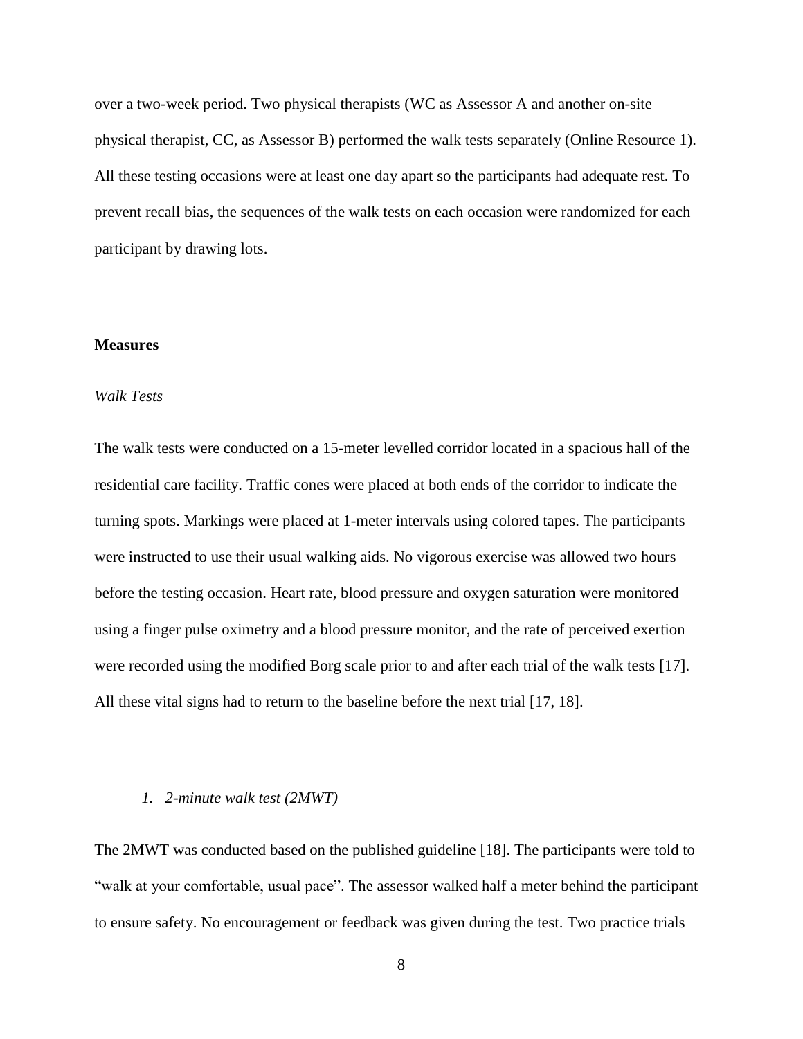over a two-week period. Two physical therapists (WC as Assessor A and another on-site physical therapist, CC, as Assessor B) performed the walk tests separately (Online Resource 1). All these testing occasions were at least one day apart so the participants had adequate rest. To prevent recall bias, the sequences of the walk tests on each occasion were randomized for each participant by drawing lots.

# **Measures**

### *Walk Tests*

The walk tests were conducted on a 15-meter levelled corridor located in a spacious hall of the residential care facility. Traffic cones were placed at both ends of the corridor to indicate the turning spots. Markings were placed at 1-meter intervals using colored tapes. The participants were instructed to use their usual walking aids. No vigorous exercise was allowed two hours before the testing occasion. Heart rate, blood pressure and oxygen saturation were monitored using a finger pulse oximetry and a blood pressure monitor, and the rate of perceived exertion were recorded using the modified Borg scale prior to and after each trial of the walk tests [17]. All these vital signs had to return to the baseline before the next trial [17, 18].

# *1. 2-minute walk test (2MWT)*

The 2MWT was conducted based on the published guideline [18]. The participants were told to "walk at your comfortable, usual pace". The assessor walked half a meter behind the participant to ensure safety. No encouragement or feedback was given during the test. Two practice trials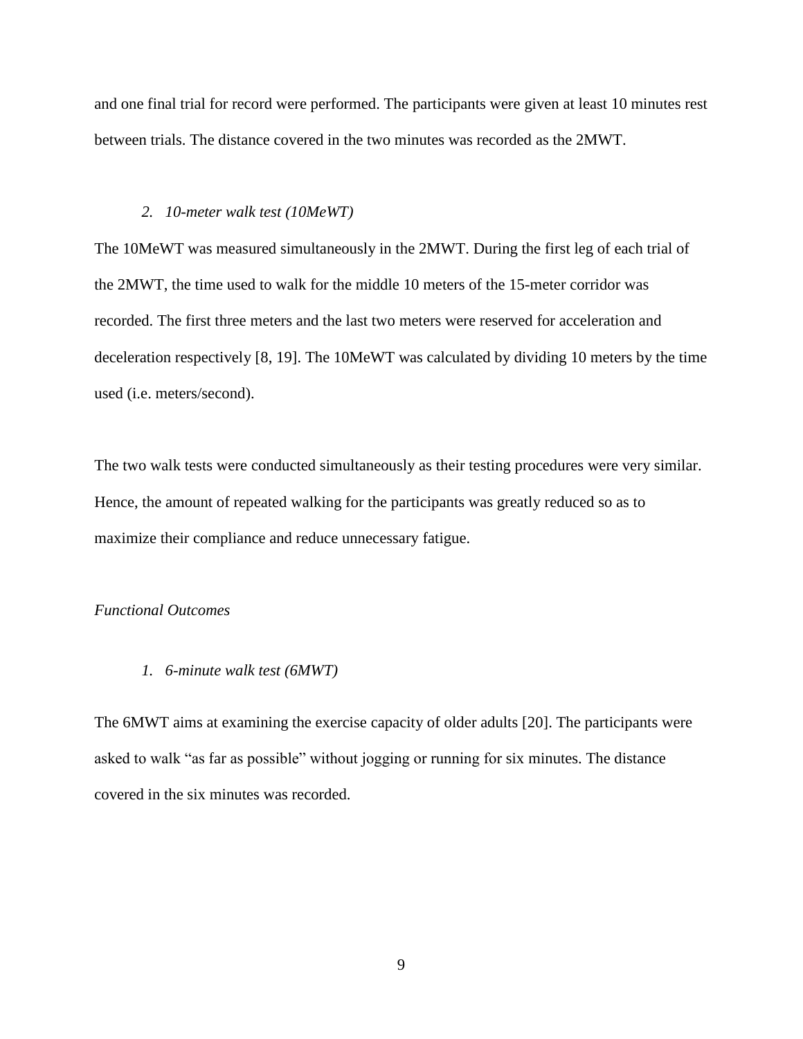and one final trial for record were performed. The participants were given at least 10 minutes rest between trials. The distance covered in the two minutes was recorded as the 2MWT.

#### *2. 10-meter walk test (10MeWT)*

The 10MeWT was measured simultaneously in the 2MWT. During the first leg of each trial of the 2MWT, the time used to walk for the middle 10 meters of the 15-meter corridor was recorded. The first three meters and the last two meters were reserved for acceleration and deceleration respectively [8, 19]. The 10MeWT was calculated by dividing 10 meters by the time used (i.e. meters/second).

The two walk tests were conducted simultaneously as their testing procedures were very similar. Hence, the amount of repeated walking for the participants was greatly reduced so as to maximize their compliance and reduce unnecessary fatigue.

#### *Functional Outcomes*

*1. 6-minute walk test (6MWT)*

The 6MWT aims at examining the exercise capacity of older adults [20]. The participants were asked to walk "as far as possible" without jogging or running for six minutes. The distance covered in the six minutes was recorded.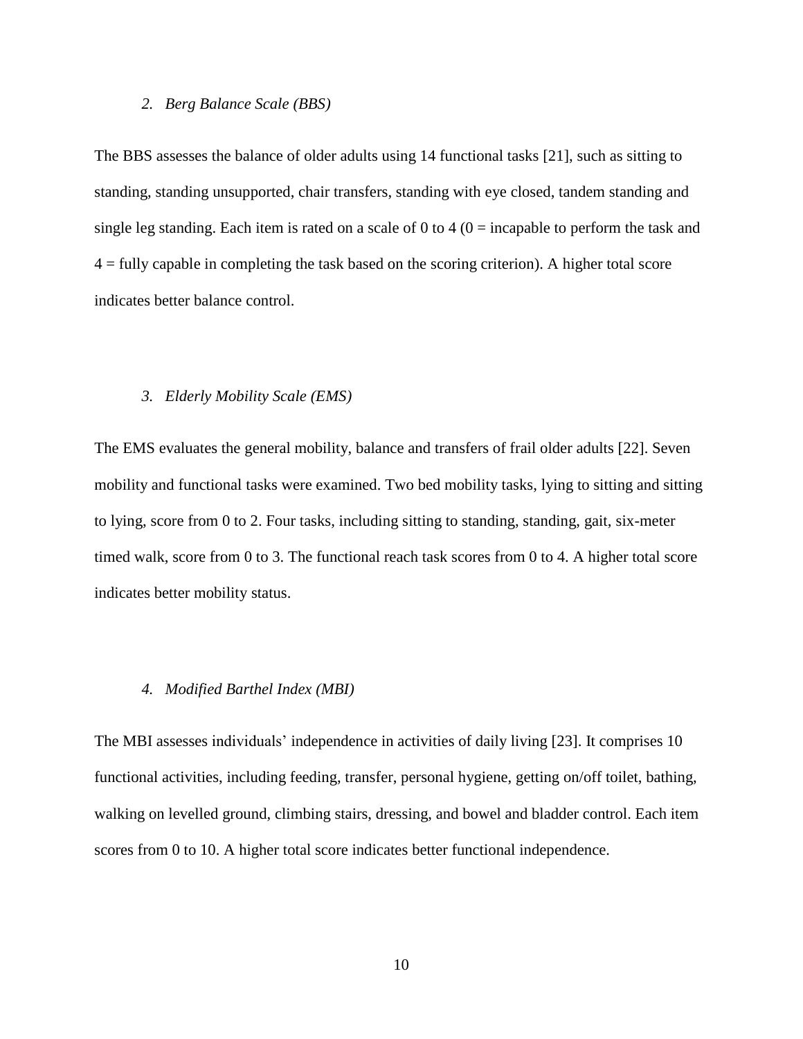# *2. Berg Balance Scale (BBS)*

The BBS assesses the balance of older adults using 14 functional tasks [21], such as sitting to standing, standing unsupported, chair transfers, standing with eye closed, tandem standing and single leg standing. Each item is rated on a scale of 0 to 4 ( $0 =$  incapable to perform the task and  $4 =$  fully capable in completing the task based on the scoring criterion). A higher total score indicates better balance control.

## *3. Elderly Mobility Scale (EMS)*

The EMS evaluates the general mobility, balance and transfers of frail older adults [22]. Seven mobility and functional tasks were examined. Two bed mobility tasks, lying to sitting and sitting to lying, score from 0 to 2. Four tasks, including sitting to standing, standing, gait, six-meter timed walk, score from 0 to 3. The functional reach task scores from 0 to 4. A higher total score indicates better mobility status.

#### *4. Modified Barthel Index (MBI)*

The MBI assesses individuals' independence in activities of daily living [23]. It comprises 10 functional activities, including feeding, transfer, personal hygiene, getting on/off toilet, bathing, walking on levelled ground, climbing stairs, dressing, and bowel and bladder control. Each item scores from 0 to 10. A higher total score indicates better functional independence.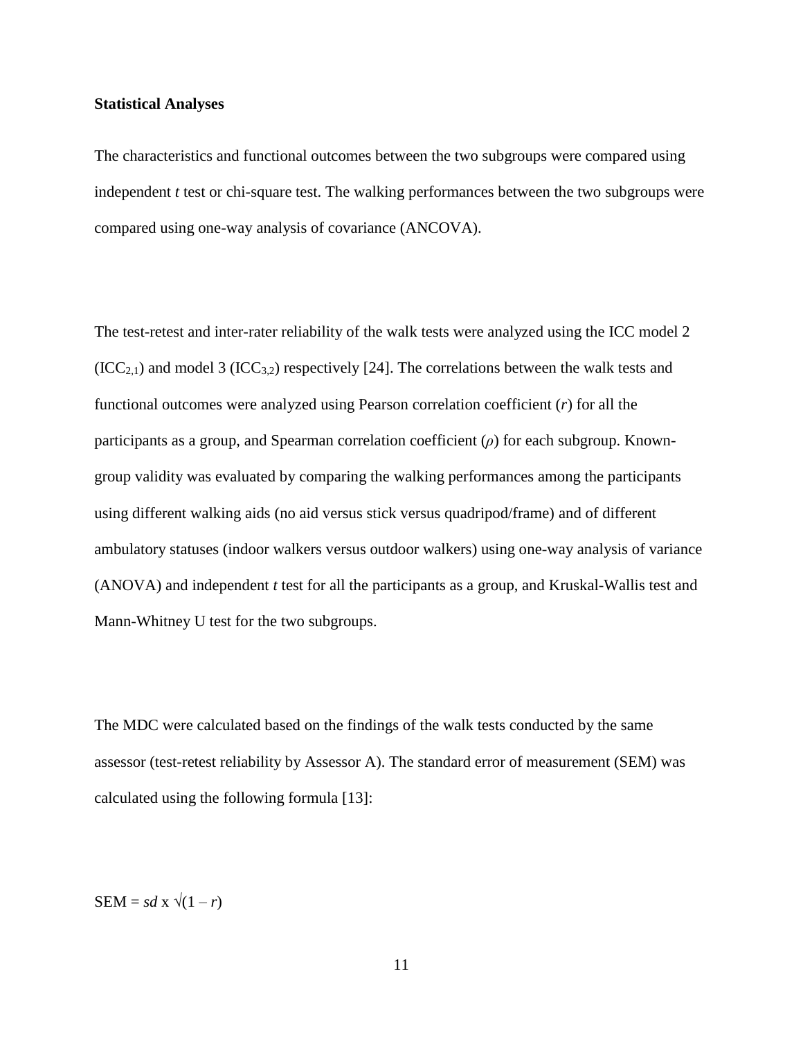#### **Statistical Analyses**

The characteristics and functional outcomes between the two subgroups were compared using independent *t* test or chi-square test. The walking performances between the two subgroups were compared using one-way analysis of covariance (ANCOVA).

The test-retest and inter-rater reliability of the walk tests were analyzed using the ICC model 2  $(ICC_{2,1})$  and model 3  $(ICC_{3,2})$  respectively [24]. The correlations between the walk tests and functional outcomes were analyzed using Pearson correlation coefficient (*r*) for all the participants as a group, and Spearman correlation coefficient (*ρ*) for each subgroup. Knowngroup validity was evaluated by comparing the walking performances among the participants using different walking aids (no aid versus stick versus quadripod/frame) and of different ambulatory statuses (indoor walkers versus outdoor walkers) using one-way analysis of variance (ANOVA) and independent *t* test for all the participants as a group, and Kruskal-Wallis test and Mann-Whitney U test for the two subgroups.

The MDC were calculated based on the findings of the walk tests conducted by the same assessor (test-retest reliability by Assessor A). The standard error of measurement (SEM) was calculated using the following formula [13]:

 $SEM = sd \times \sqrt{(1 - r)}$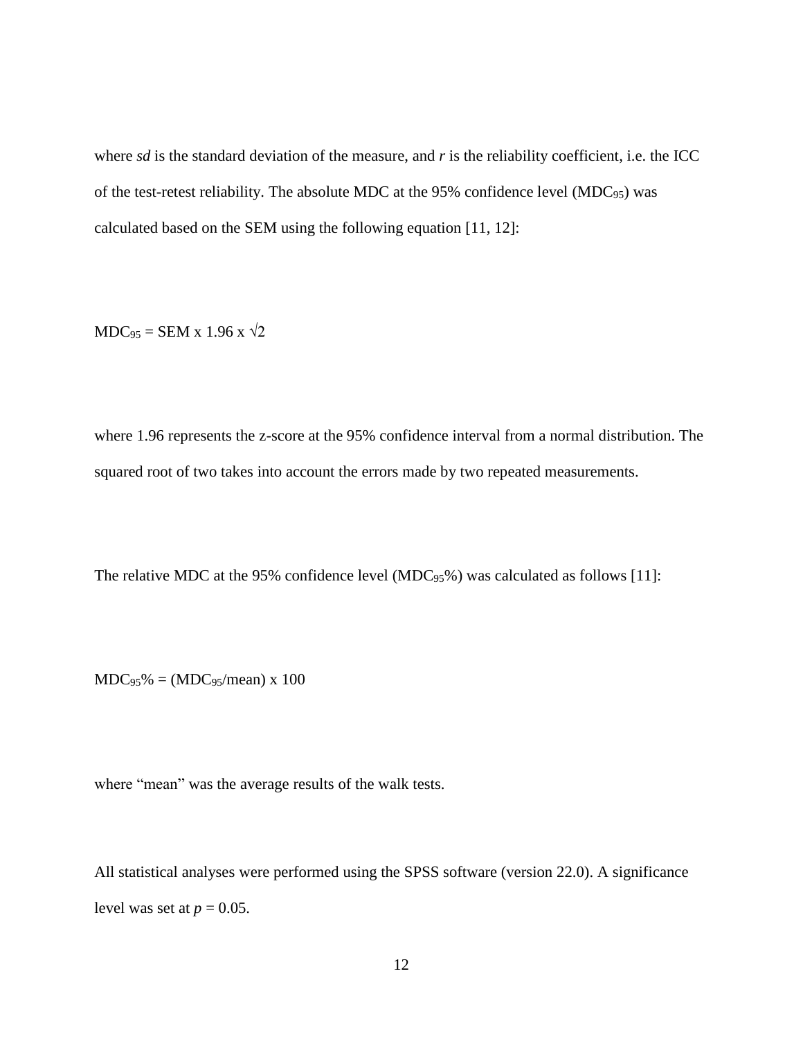where *sd* is the standard deviation of the measure, and *r* is the reliability coefficient, i.e. the ICC of the test-retest reliability. The absolute MDC at the 95% confidence level (MDC $_{95}$ ) was calculated based on the SEM using the following equation [11, 12]:

 $MDC_{95} = SEM \times 1.96 \times \sqrt{2}$ 

where 1.96 represents the z-score at the 95% confidence interval from a normal distribution. The squared root of two takes into account the errors made by two repeated measurements.

The relative MDC at the 95% confidence level (MDC $_{95\%}$ ) was calculated as follows [11]:

 $MDC_{95}$ % = (MDC<sub>95</sub>/mean) x 100

where "mean" was the average results of the walk tests.

All statistical analyses were performed using the SPSS software (version 22.0). A significance level was set at  $p = 0.05$ .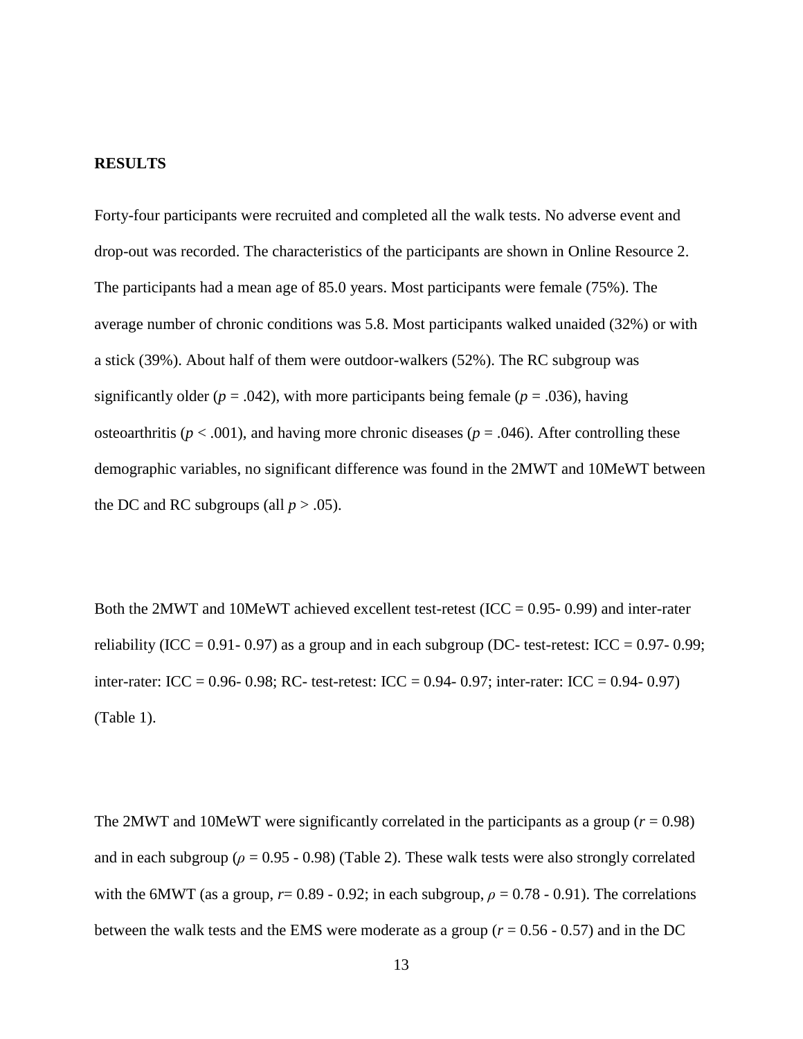#### **RESULTS**

Forty-four participants were recruited and completed all the walk tests. No adverse event and drop-out was recorded. The characteristics of the participants are shown in Online Resource 2. The participants had a mean age of 85.0 years. Most participants were female (75%). The average number of chronic conditions was 5.8. Most participants walked unaided (32%) or with a stick (39%). About half of them were outdoor-walkers (52%). The RC subgroup was significantly older ( $p = .042$ ), with more participants being female ( $p = .036$ ), having osteoarthritis ( $p < .001$ ), and having more chronic diseases ( $p = .046$ ). After controlling these demographic variables, no significant difference was found in the 2MWT and 10MeWT between the DC and RC subgroups (all  $p > .05$ ).

Both the 2MWT and 10MeWT achieved excellent test-retest (ICC =  $0.95-0.99$ ) and inter-rater reliability (ICC = 0.91- 0.97) as a group and in each subgroup (DC- test-retest: ICC = 0.97- 0.99; inter-rater: ICC =  $0.96 - 0.98$ ; RC- test-retest: ICC =  $0.94 - 0.97$ ; inter-rater: ICC =  $0.94 - 0.97$ ) (Table 1).

The 2MWT and 10MeWT were significantly correlated in the participants as a group ( $r = 0.98$ ) and in each subgroup ( $\rho = 0.95 - 0.98$ ) (Table 2). These walk tests were also strongly correlated with the 6MWT (as a group,  $r= 0.89 - 0.92$ ; in each subgroup,  $\rho = 0.78 - 0.91$ ). The correlations between the walk tests and the EMS were moderate as a group (*r* = 0.56 - 0.57) and in the DC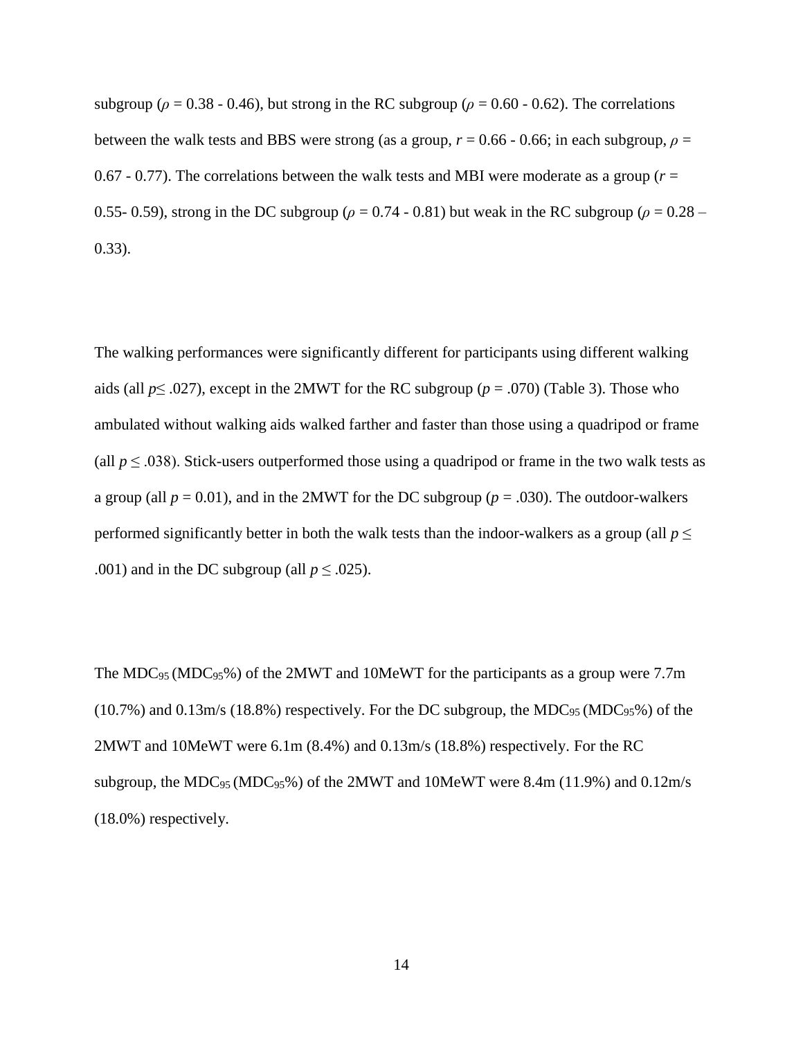subgroup ( $\rho = 0.38 - 0.46$ ), but strong in the RC subgroup ( $\rho = 0.60 - 0.62$ ). The correlations between the walk tests and BBS were strong (as a group,  $r = 0.66 - 0.66$ ; in each subgroup,  $\rho =$ 0.67 - 0.77). The correlations between the walk tests and MBI were moderate as a group ( $r =$ 0.55- 0.59), strong in the DC subgroup ( $\rho = 0.74 - 0.81$ ) but weak in the RC subgroup ( $\rho = 0.28 - 0.69$ ) 0.33).

The walking performances were significantly different for participants using different walking aids (all  $p \leq .027$ ), except in the 2MWT for the RC subgroup ( $p = .070$ ) (Table 3). Those who ambulated without walking aids walked farther and faster than those using a quadripod or frame (all  $p \leq 0.038$ ). Stick-users outperformed those using a quadripod or frame in the two walk tests as a group (all  $p = 0.01$ ), and in the 2MWT for the DC subgroup ( $p = .030$ ). The outdoor-walkers performed significantly better in both the walk tests than the indoor-walkers as a group (all  $p \leq$ .001) and in the DC subgroup (all  $p \leq .025$ ).

The MDC<sup>95</sup> (MDC95%) of the 2MWT and 10MeWT for the participants as a group were 7.7m  $(10.7\%)$  and  $(0.13\text{m/s}$  (18.8%) respectively. For the DC subgroup, the MDC<sub>95</sub> (MDC<sub>95</sub>%) of the 2MWT and 10MeWT were 6.1m (8.4%) and 0.13m/s (18.8%) respectively. For the RC subgroup, the MDC $_{95}$ (MDC $_{95}$ %) of the 2MWT and 10MeWT were 8.4m (11.9%) and 0.12m/s (18.0%) respectively.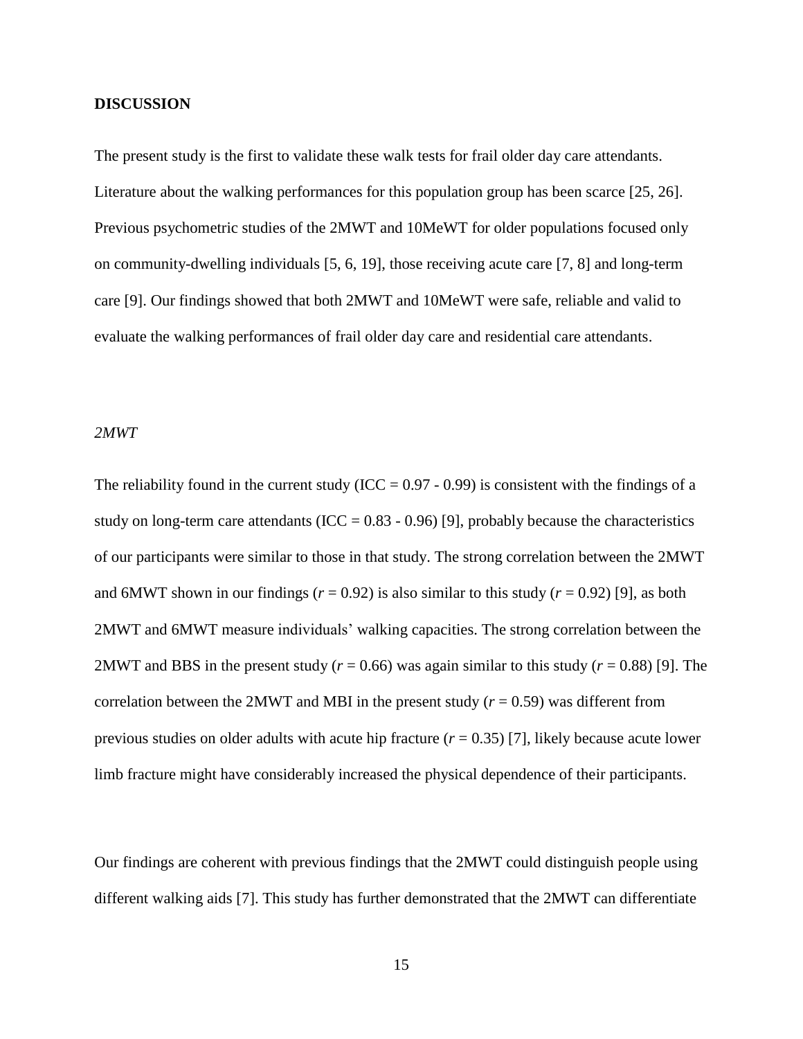### **DISCUSSION**

The present study is the first to validate these walk tests for frail older day care attendants. Literature about the walking performances for this population group has been scarce [25, 26]. Previous psychometric studies of the 2MWT and 10MeWT for older populations focused only on community-dwelling individuals [5, 6, 19], those receiving acute care [7, 8] and long-term care [9]. Our findings showed that both 2MWT and 10MeWT were safe, reliable and valid to evaluate the walking performances of frail older day care and residential care attendants.

# *2MWT*

The reliability found in the current study (ICC =  $0.97 - 0.99$ ) is consistent with the findings of a study on long-term care attendants (ICC =  $0.83 - 0.96$ ) [9], probably because the characteristics of our participants were similar to those in that study. The strong correlation between the 2MWT and 6MWT shown in our findings ( $r = 0.92$ ) is also similar to this study ( $r = 0.92$ ) [9], as both 2MWT and 6MWT measure individuals' walking capacities. The strong correlation between the 2MWT and BBS in the present study ( $r = 0.66$ ) was again similar to this study ( $r = 0.88$ ) [9]. The correlation between the 2MWT and MBI in the present study  $(r = 0.59)$  was different from previous studies on older adults with acute hip fracture  $(r = 0.35)$  [7], likely because acute lower limb fracture might have considerably increased the physical dependence of their participants.

Our findings are coherent with previous findings that the 2MWT could distinguish people using different walking aids [7]. This study has further demonstrated that the 2MWT can differentiate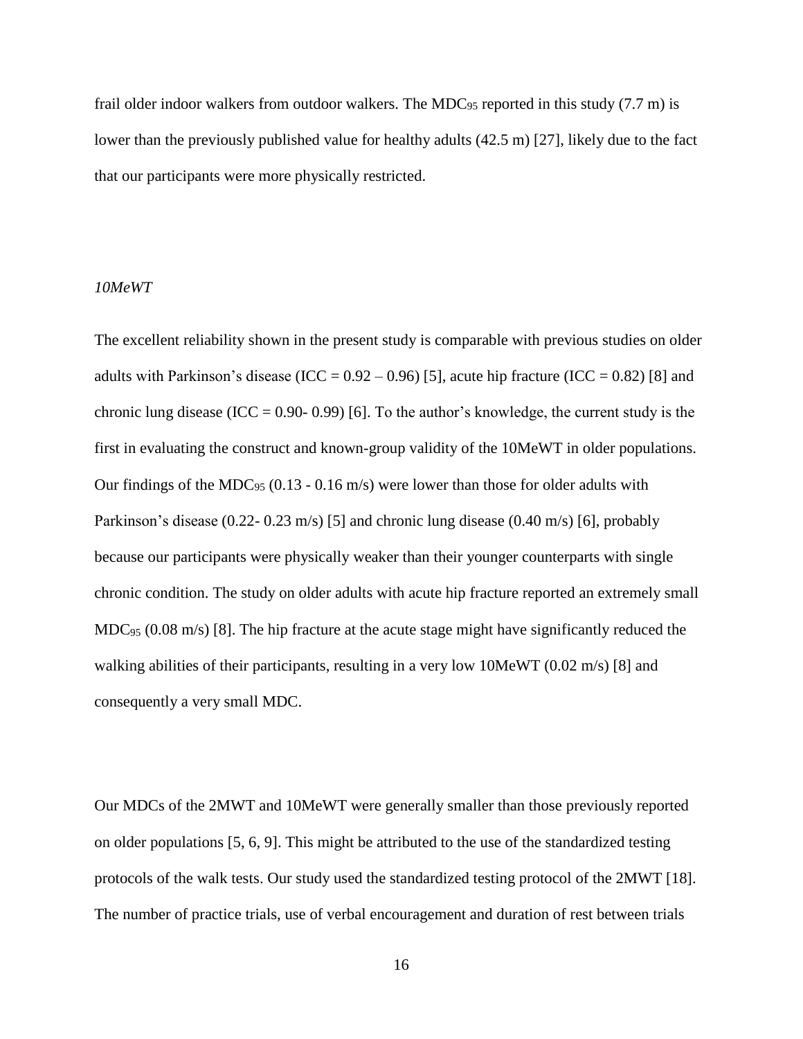frail older indoor walkers from outdoor walkers. The MDC $_{95}$  reported in this study (7.7 m) is lower than the previously published value for healthy adults (42.5 m) [27], likely due to the fact that our participants were more physically restricted.

# *10MeWT*

The excellent reliability shown in the present study is comparable with previous studies on older adults with Parkinson's disease (ICC =  $0.92 - 0.96$ ) [5], acute hip fracture (ICC =  $0.82$ ) [8] and chronic lung disease (ICC =  $0.90 - 0.99$ ) [6]. To the author's knowledge, the current study is the first in evaluating the construct and known-group validity of the 10MeWT in older populations. Our findings of the MDC $_{95}$  (0.13 - 0.16 m/s) were lower than those for older adults with Parkinson's disease (0.22- 0.23 m/s) [5] and chronic lung disease (0.40 m/s) [6], probably because our participants were physically weaker than their younger counterparts with single chronic condition. The study on older adults with acute hip fracture reported an extremely small  $MDC_{95}$  (0.08 m/s) [8]. The hip fracture at the acute stage might have significantly reduced the walking abilities of their participants, resulting in a very low 10MeWT (0.02 m/s) [8] and consequently a very small MDC.

Our MDCs of the 2MWT and 10MeWT were generally smaller than those previously reported on older populations [5, 6, 9]. This might be attributed to the use of the standardized testing protocols of the walk tests. Our study used the standardized testing protocol of the 2MWT [18]. The number of practice trials, use of verbal encouragement and duration of rest between trials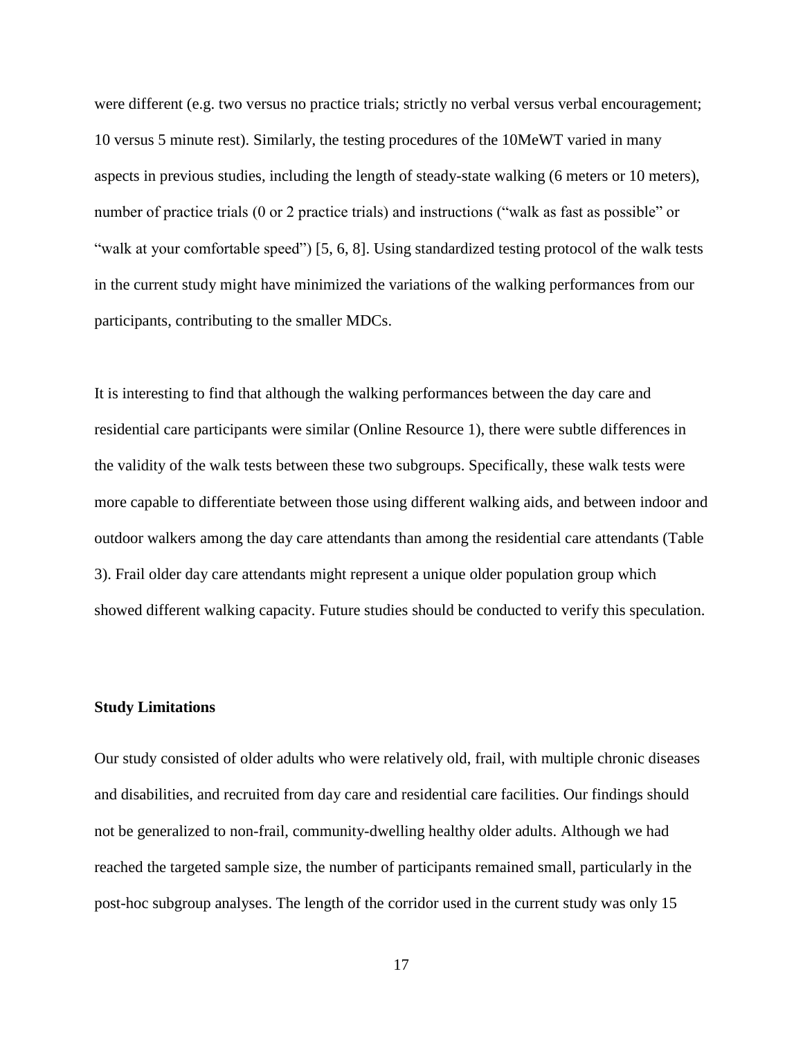were different (e.g. two versus no practice trials; strictly no verbal versus verbal encouragement; 10 versus 5 minute rest). Similarly, the testing procedures of the 10MeWT varied in many aspects in previous studies, including the length of steady-state walking (6 meters or 10 meters), number of practice trials (0 or 2 practice trials) and instructions ("walk as fast as possible" or "walk at your comfortable speed") [5, 6, 8]. Using standardized testing protocol of the walk tests in the current study might have minimized the variations of the walking performances from our participants, contributing to the smaller MDCs.

It is interesting to find that although the walking performances between the day care and residential care participants were similar (Online Resource 1), there were subtle differences in the validity of the walk tests between these two subgroups. Specifically, these walk tests were more capable to differentiate between those using different walking aids, and between indoor and outdoor walkers among the day care attendants than among the residential care attendants (Table 3). Frail older day care attendants might represent a unique older population group which showed different walking capacity. Future studies should be conducted to verify this speculation.

# **Study Limitations**

Our study consisted of older adults who were relatively old, frail, with multiple chronic diseases and disabilities, and recruited from day care and residential care facilities. Our findings should not be generalized to non-frail, community-dwelling healthy older adults. Although we had reached the targeted sample size, the number of participants remained small, particularly in the post-hoc subgroup analyses. The length of the corridor used in the current study was only 15

17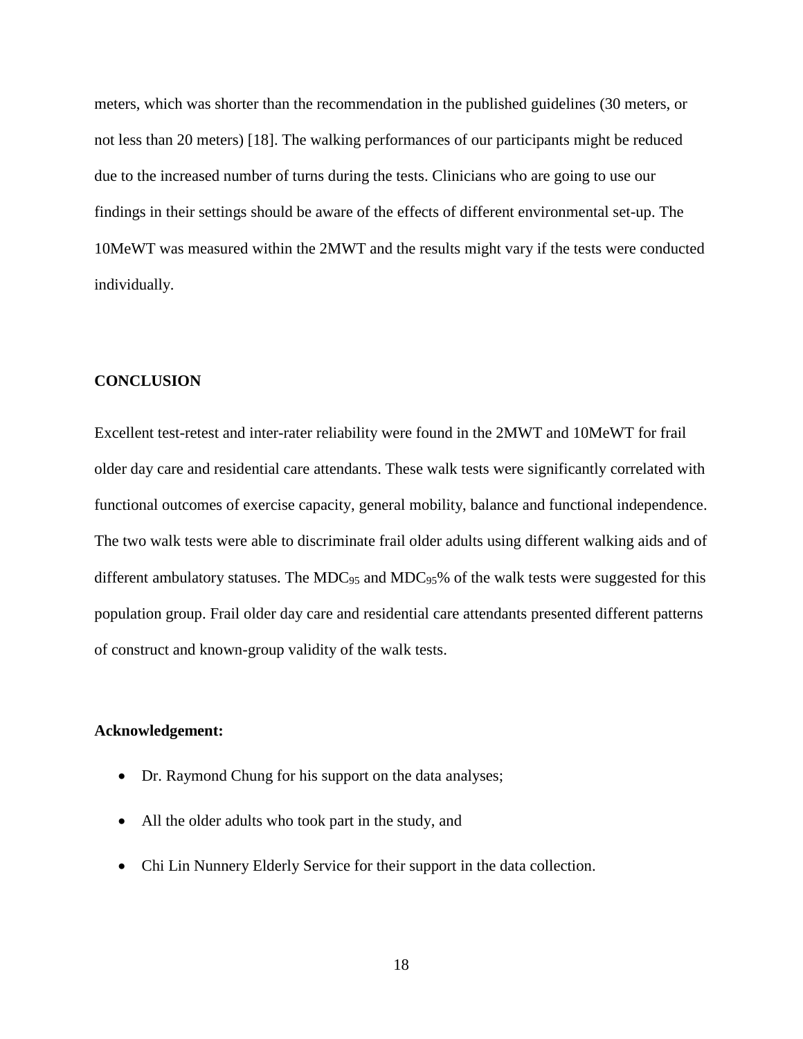meters, which was shorter than the recommendation in the published guidelines (30 meters, or not less than 20 meters) [18]. The walking performances of our participants might be reduced due to the increased number of turns during the tests. Clinicians who are going to use our findings in their settings should be aware of the effects of different environmental set-up. The 10MeWT was measured within the 2MWT and the results might vary if the tests were conducted individually.

#### **CONCLUSION**

Excellent test-retest and inter-rater reliability were found in the 2MWT and 10MeWT for frail older day care and residential care attendants. These walk tests were significantly correlated with functional outcomes of exercise capacity, general mobility, balance and functional independence. The two walk tests were able to discriminate frail older adults using different walking aids and of different ambulatory statuses. The MDC $_{95}$  and MDC $_{95}$ % of the walk tests were suggested for this population group. Frail older day care and residential care attendants presented different patterns of construct and known-group validity of the walk tests.

# **Acknowledgement:**

- Dr. Raymond Chung for his support on the data analyses;
- All the older adults who took part in the study, and
- Chi Lin Nunnery Elderly Service for their support in the data collection.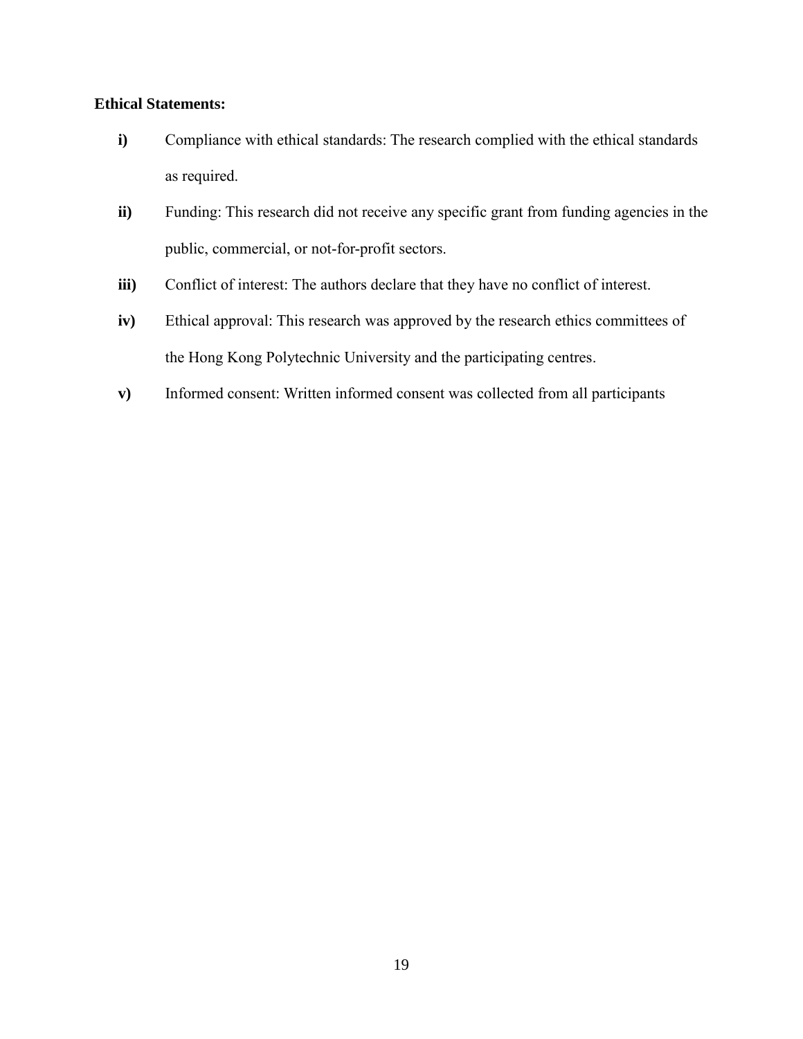# **Ethical Statements:**

- **i)** Compliance with ethical standards: The research complied with the ethical standards as required.
- **ii**) Funding: This research did not receive any specific grant from funding agencies in the public, commercial, or not-for-profit sectors.
- **iii)** Conflict of interest: The authors declare that they have no conflict of interest.
- **iv**) Ethical approval: This research was approved by the research ethics committees of the Hong Kong Polytechnic University and the participating centres.
- **v)** Informed consent: Written informed consent was collected from all participants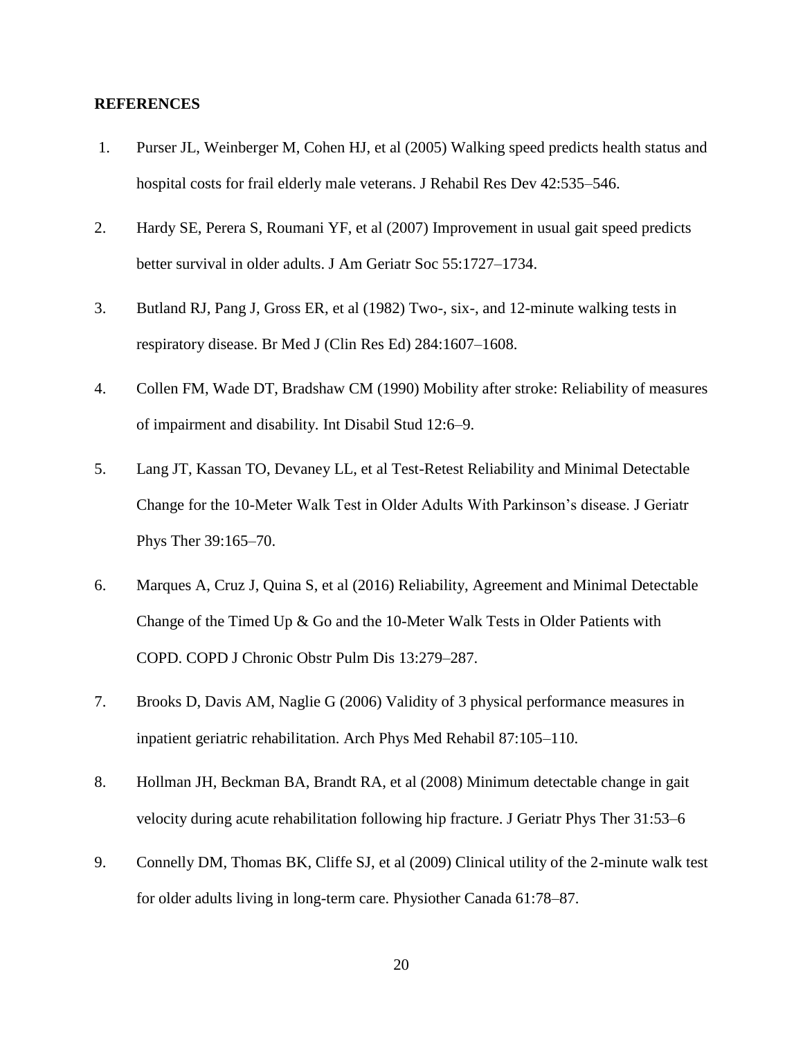### **REFERENCES**

- 1. Purser JL, Weinberger M, Cohen HJ, et al (2005) Walking speed predicts health status and hospital costs for frail elderly male veterans. J Rehabil Res Dev 42:535–546.
- 2. Hardy SE, Perera S, Roumani YF, et al (2007) Improvement in usual gait speed predicts better survival in older adults. J Am Geriatr Soc 55:1727–1734.
- 3. Butland RJ, Pang J, Gross ER, et al (1982) Two-, six-, and 12-minute walking tests in respiratory disease. Br Med J (Clin Res Ed) 284:1607–1608.
- 4. Collen FM, Wade DT, Bradshaw CM (1990) Mobility after stroke: Reliability of measures of impairment and disability. Int Disabil Stud 12:6–9.
- 5. Lang JT, Kassan TO, Devaney LL, et al Test-Retest Reliability and Minimal Detectable Change for the 10-Meter Walk Test in Older Adults With Parkinson's disease. J Geriatr Phys Ther 39:165–70.
- 6. Marques A, Cruz J, Quina S, et al (2016) Reliability, Agreement and Minimal Detectable Change of the Timed Up  $\&$  Go and the 10-Meter Walk Tests in Older Patients with COPD. COPD J Chronic Obstr Pulm Dis 13:279–287.
- 7. Brooks D, Davis AM, Naglie G (2006) Validity of 3 physical performance measures in inpatient geriatric rehabilitation. Arch Phys Med Rehabil 87:105–110.
- 8. Hollman JH, Beckman BA, Brandt RA, et al (2008) Minimum detectable change in gait velocity during acute rehabilitation following hip fracture. J Geriatr Phys Ther 31:53–6
- 9. Connelly DM, Thomas BK, Cliffe SJ, et al (2009) Clinical utility of the 2-minute walk test for older adults living in long-term care. Physiother Canada 61:78–87.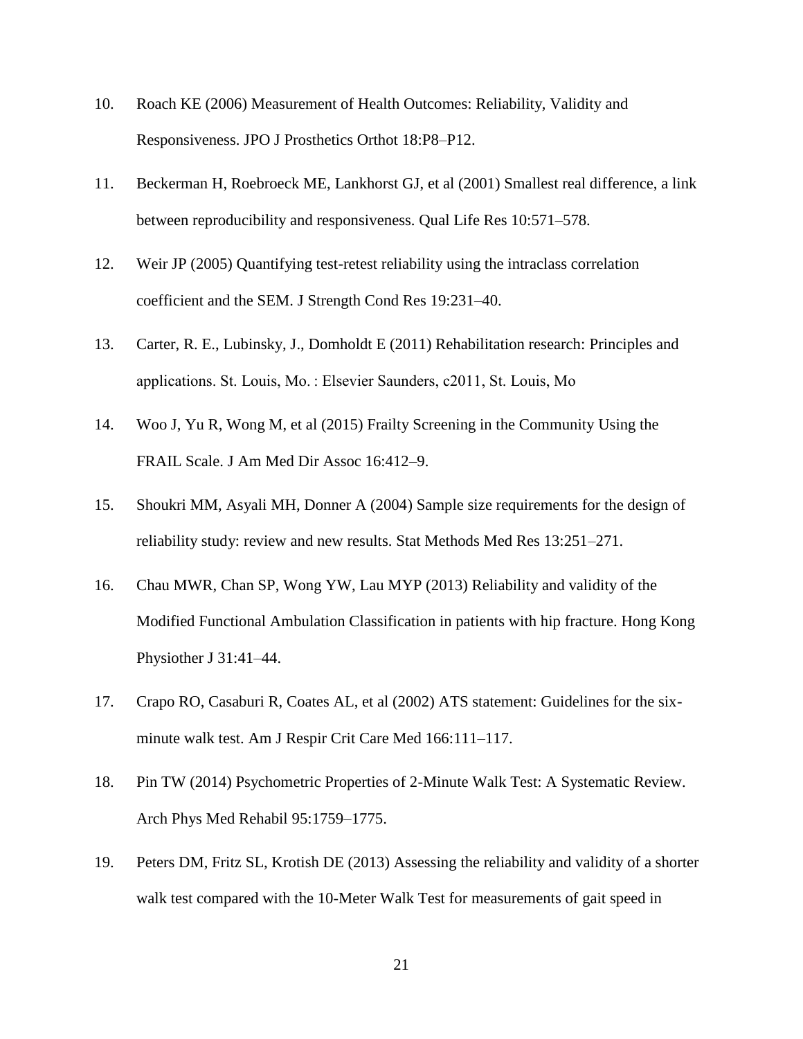- 10. Roach KE (2006) Measurement of Health Outcomes: Reliability, Validity and Responsiveness. JPO J Prosthetics Orthot 18:P8–P12.
- 11. Beckerman H, Roebroeck ME, Lankhorst GJ, et al (2001) Smallest real difference, a link between reproducibility and responsiveness. Qual Life Res 10:571–578.
- 12. Weir JP (2005) Quantifying test-retest reliability using the intraclass correlation coefficient and the SEM. J Strength Cond Res 19:231–40.
- 13. Carter, R. E., Lubinsky, J., Domholdt E (2011) Rehabilitation research: Principles and applications. St. Louis, Mo. : Elsevier Saunders, c2011, St. Louis, Mo
- 14. Woo J, Yu R, Wong M, et al (2015) Frailty Screening in the Community Using the FRAIL Scale. J Am Med Dir Assoc 16:412–9.
- 15. Shoukri MM, Asyali MH, Donner A (2004) Sample size requirements for the design of reliability study: review and new results. Stat Methods Med Res 13:251–271.
- 16. Chau MWR, Chan SP, Wong YW, Lau MYP (2013) Reliability and validity of the Modified Functional Ambulation Classification in patients with hip fracture. Hong Kong Physiother J 31:41–44.
- 17. Crapo RO, Casaburi R, Coates AL, et al (2002) ATS statement: Guidelines for the sixminute walk test. Am J Respir Crit Care Med 166:111–117.
- 18. Pin TW (2014) Psychometric Properties of 2-Minute Walk Test: A Systematic Review. Arch Phys Med Rehabil 95:1759–1775.
- 19. Peters DM, Fritz SL, Krotish DE (2013) Assessing the reliability and validity of a shorter walk test compared with the 10-Meter Walk Test for measurements of gait speed in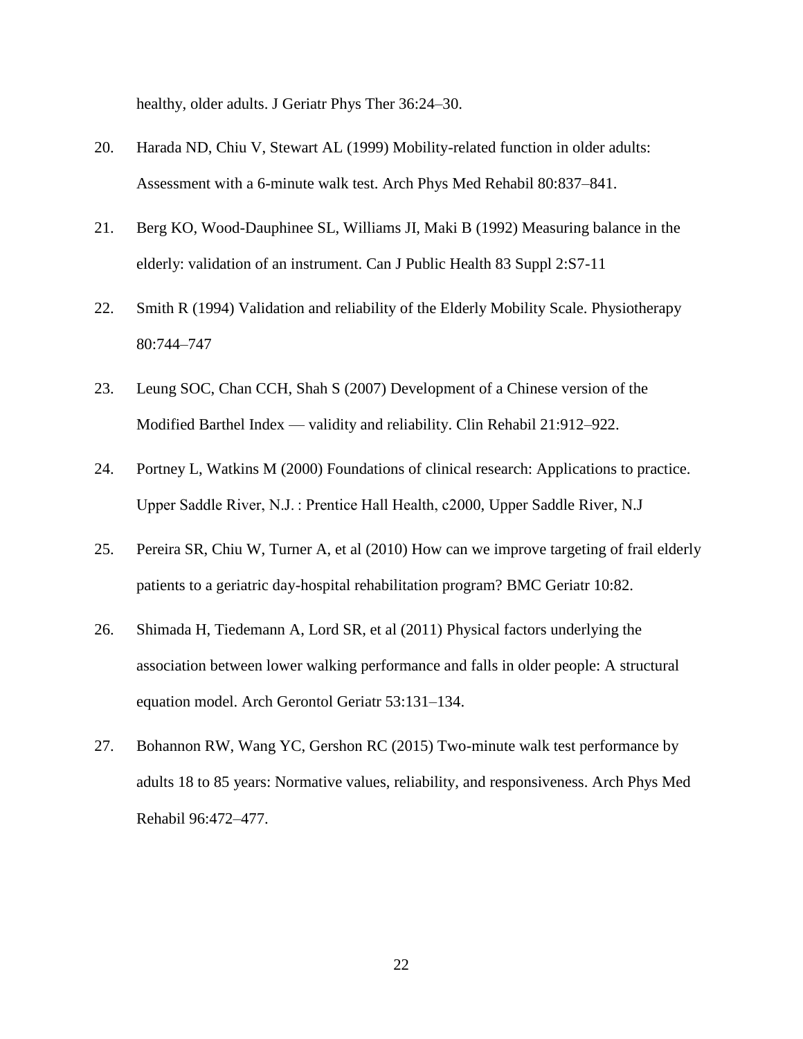healthy, older adults. J Geriatr Phys Ther 36:24–30.

- 20. Harada ND, Chiu V, Stewart AL (1999) Mobility-related function in older adults: Assessment with a 6-minute walk test. Arch Phys Med Rehabil 80:837–841.
- 21. Berg KO, Wood-Dauphinee SL, Williams JI, Maki B (1992) Measuring balance in the elderly: validation of an instrument. Can J Public Health 83 Suppl 2:S7-11
- 22. Smith R (1994) Validation and reliability of the Elderly Mobility Scale. Physiotherapy 80:744–747
- 23. Leung SOC, Chan CCH, Shah S (2007) Development of a Chinese version of the Modified Barthel Index — validity and reliability. Clin Rehabil 21:912–922.
- 24. Portney L, Watkins M (2000) Foundations of clinical research: Applications to practice. Upper Saddle River, N.J. : Prentice Hall Health, c2000, Upper Saddle River, N.J
- 25. Pereira SR, Chiu W, Turner A, et al (2010) How can we improve targeting of frail elderly patients to a geriatric day-hospital rehabilitation program? BMC Geriatr 10:82.
- 26. Shimada H, Tiedemann A, Lord SR, et al (2011) Physical factors underlying the association between lower walking performance and falls in older people: A structural equation model. Arch Gerontol Geriatr 53:131–134.
- 27. Bohannon RW, Wang YC, Gershon RC (2015) Two-minute walk test performance by adults 18 to 85 years: Normative values, reliability, and responsiveness. Arch Phys Med Rehabil 96:472–477.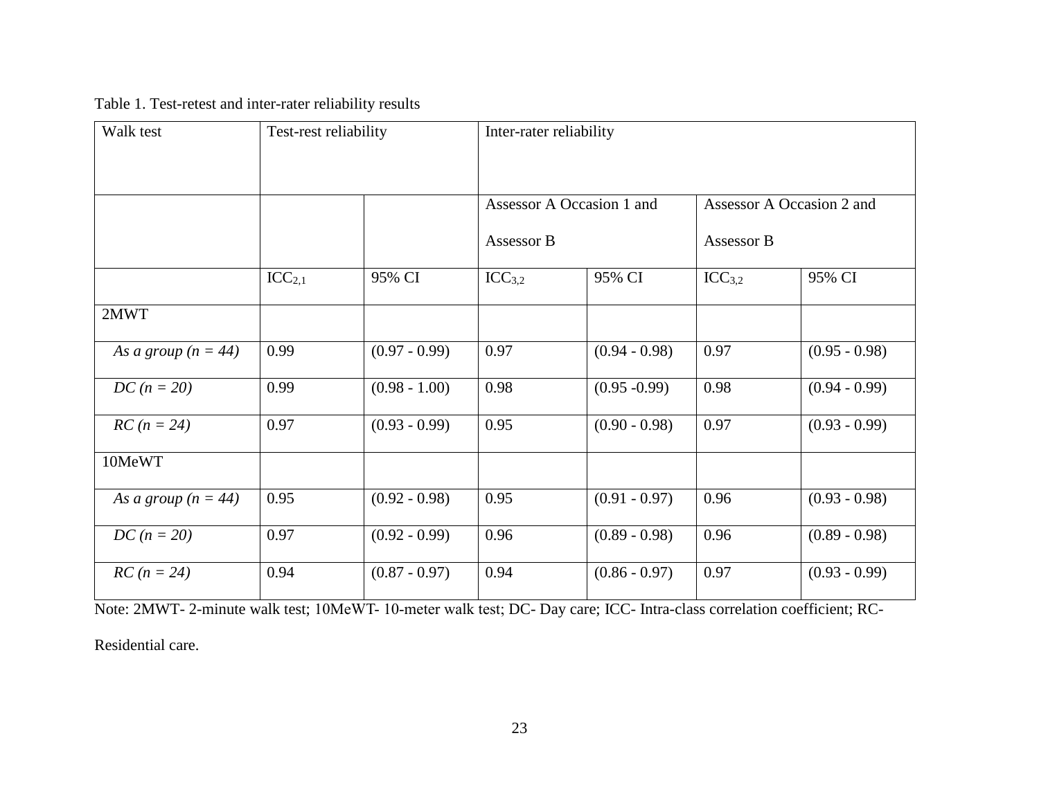Table 1. Test-retest and inter-rater reliability results

| Walk test             |                    | Test-rest reliability |                                         | Inter-rater reliability |                                         |                 |  |  |
|-----------------------|--------------------|-----------------------|-----------------------------------------|-------------------------|-----------------------------------------|-----------------|--|--|
|                       |                    |                       | Assessor A Occasion 1 and<br>Assessor B |                         | Assessor A Occasion 2 and<br>Assessor B |                 |  |  |
|                       | ICC <sub>2,1</sub> | 95% CI                | ICC <sub>3,2</sub>                      | 95% CI                  | ICC <sub>3,2</sub>                      | 95% CI          |  |  |
| 2MWT                  |                    |                       |                                         |                         |                                         |                 |  |  |
| As a group $(n = 44)$ | 0.99               | $(0.97 - 0.99)$       | 0.97                                    | $(0.94 - 0.98)$         | 0.97                                    | $(0.95 - 0.98)$ |  |  |
| $DC (n = 20)$         | 0.99               | $(0.98 - 1.00)$       | 0.98                                    | $(0.95 - 0.99)$         | 0.98                                    | $(0.94 - 0.99)$ |  |  |
| $RC (n = 24)$         | 0.97               | $(0.93 - 0.99)$       | 0.95                                    | $(0.90 - 0.98)$         | 0.97                                    | $(0.93 - 0.99)$ |  |  |
| 10MeWT                |                    |                       |                                         |                         |                                         |                 |  |  |
| As a group $(n = 44)$ | 0.95               | $(0.92 - 0.98)$       | 0.95                                    | $(0.91 - 0.97)$         | 0.96                                    | $(0.93 - 0.98)$ |  |  |
| $DC (n = 20)$         | 0.97               | $(0.92 - 0.99)$       | 0.96                                    | $(0.89 - 0.98)$         | 0.96                                    | $(0.89 - 0.98)$ |  |  |
| $RC (n = 24)$         | 0.94               | $(0.87 - 0.97)$       | 0.94                                    | $(0.86 - 0.97)$         | 0.97                                    | $(0.93 - 0.99)$ |  |  |

Note: 2MWT- 2-minute walk test; 10MeWT- 10-meter walk test; DC- Day care; ICC- Intra-class correlation coefficient; RC-

Residential care.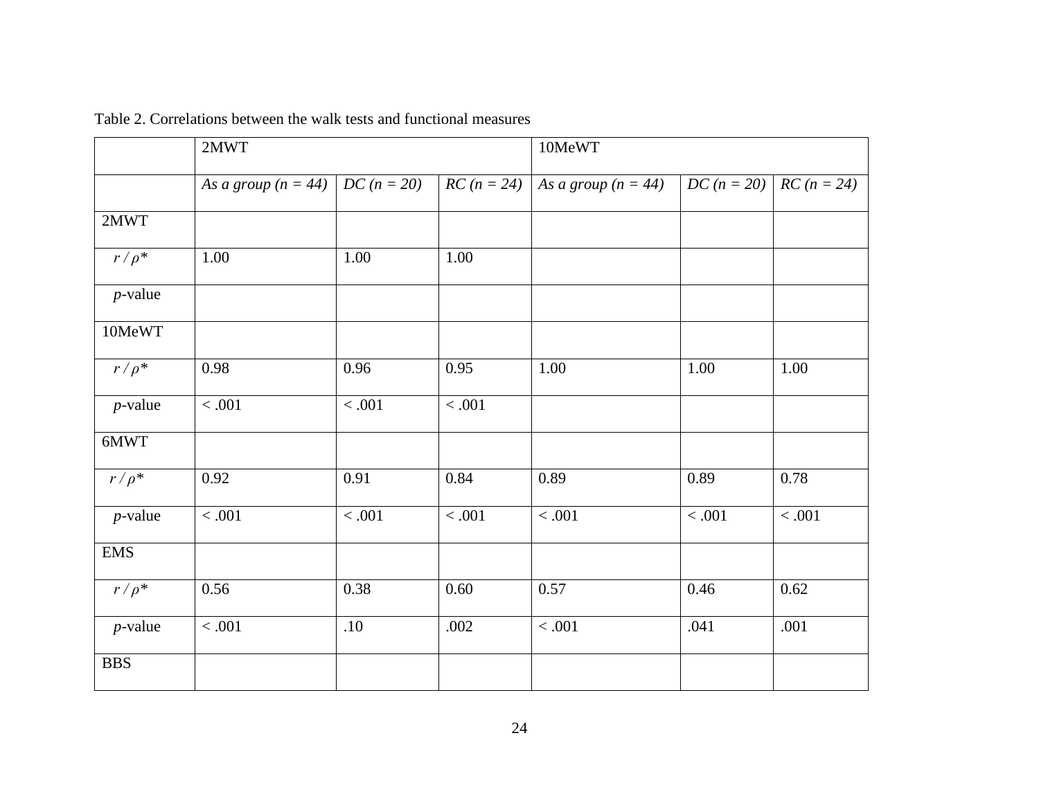|            | 2MWT                  |               |                    | 10MeWT                |                             |         |  |
|------------|-----------------------|---------------|--------------------|-----------------------|-----------------------------|---------|--|
|            | As a group $(n = 44)$ | $DC (n = 20)$ | $RC (n = 24)$      | As a group $(n = 44)$ | $DC (n = 20)$ $RC (n = 24)$ |         |  |
| 2MWT       |                       |               |                    |                       |                             |         |  |
| $r/\rho^*$ | 1.00                  | 1.00          | 1.00               |                       |                             |         |  |
| $p$ -value |                       |               |                    |                       |                             |         |  |
| 10MeWT     |                       |               |                    |                       |                             |         |  |
| $r/\rho^*$ | 0.98                  | 0.96          | 0.95               | 1.00                  | 1.00                        | 1.00    |  |
| $p$ -value | $\overline{0.001}$    | $<.001$       | $\overline{0.001}$ |                       |                             |         |  |
| 6MWT       |                       |               |                    |                       |                             |         |  |
| $r/\rho^*$ | 0.92                  | 0.91          | 0.84               | 0.89                  | 0.89                        | 0.78    |  |
| $p$ -value | $<.001$               | $<.001$       | $<.001$            | $<.001$               | $<.001$                     | $<.001$ |  |
| <b>EMS</b> |                       |               |                    |                       |                             |         |  |
| $r/\rho^*$ | 0.56                  | 0.38          | 0.60               | 0.57                  | 0.46                        | 0.62    |  |
| $p$ -value | $<.001$               | .10           | .002               | $<.001$               | .041                        | .001    |  |
| <b>BBS</b> |                       |               |                    |                       |                             |         |  |

Table 2. Correlations between the walk tests and functional measures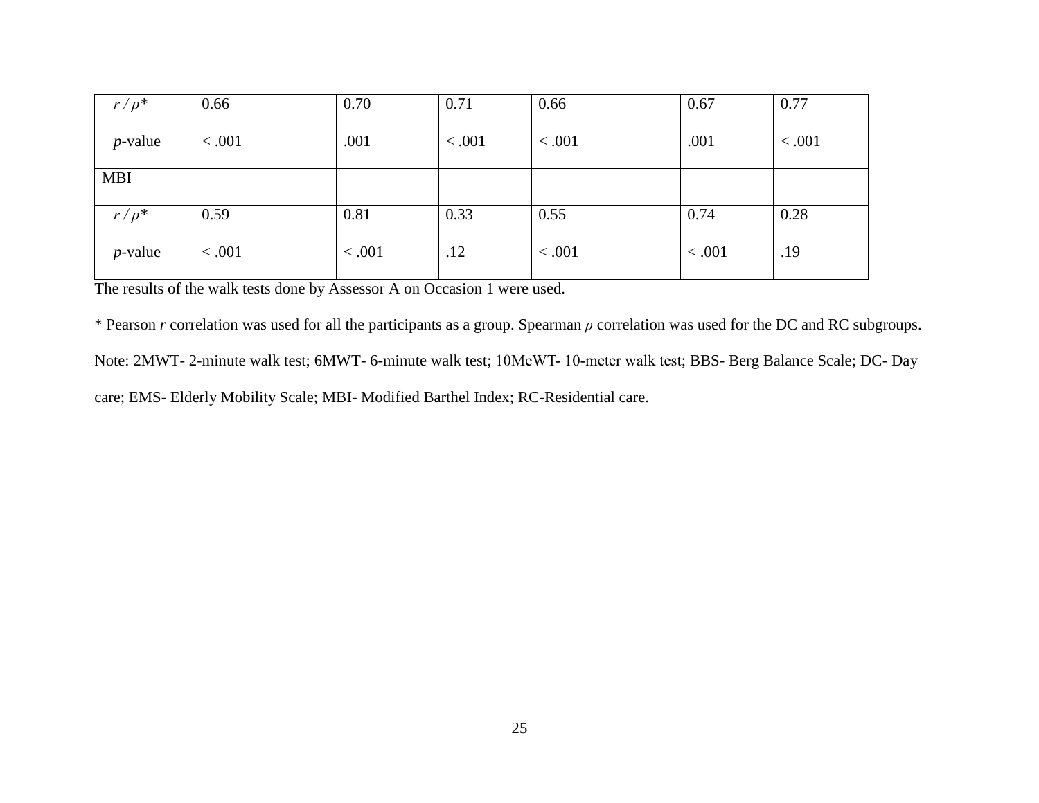| $r/\rho^*$ | 0.66   | 0.70   | 0.71   | 0.66    | 0.67   | 0.77   |
|------------|--------|--------|--------|---------|--------|--------|
| $p$ -value | < .001 | .001   | < .001 | < .001  | .001   | < .001 |
| <b>MBI</b> |        |        |        |         |        |        |
| $r/\rho^*$ | 0.59   | 0.81   | 0.33   | 0.55    | 0.74   | 0.28   |
| $p$ -value | < .001 | < .001 | .12    | < 0.001 | < .001 | .19    |

The results of the walk tests done by Assessor A on Occasion 1 were used.

\* Pearson *r* correlation was used for all the participants as a group. Spearman *ρ* correlation was used for the DC and RC subgroups. Note: 2MWT- 2-minute walk test; 6MWT- 6-minute walk test; 10MeWT- 10-meter walk test; BBS- Berg Balance Scale; DC- Day care; EMS- Elderly Mobility Scale; MBI- Modified Barthel Index; RC-Residential care.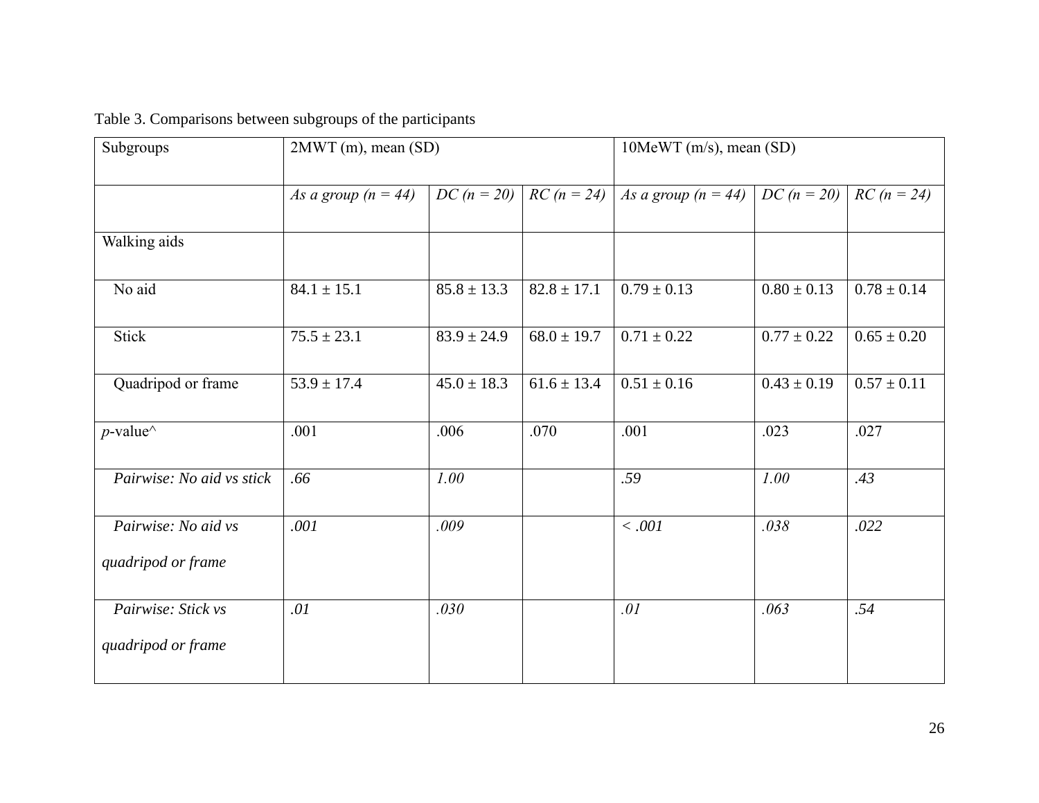| Subgroups                                 | 2MWT (m), mean (SD)   |                 |                 | $10$ MeWT (m/s), mean (SD)          |                 |                 |
|-------------------------------------------|-----------------------|-----------------|-----------------|-------------------------------------|-----------------|-----------------|
|                                           | As a group $(n = 44)$ | $DC (n = 20)$   | $RC (n = 24)$   | As a group $(n = 44)$ $DC (n = 20)$ |                 | $RC (n = 24)$   |
| Walking aids                              |                       |                 |                 |                                     |                 |                 |
| No aid                                    | $84.1 \pm 15.1$       | $85.8 \pm 13.3$ | $82.8 \pm 17.1$ | $0.79 \pm 0.13$                     | $0.80 \pm 0.13$ | $0.78 \pm 0.14$ |
| <b>Stick</b>                              | $75.5 \pm 23.1$       | $83.9 \pm 24.9$ | $68.0 \pm 19.7$ | $0.71 \pm 0.22$                     | $0.77 \pm 0.22$ | $0.65 \pm 0.20$ |
| Quadripod or frame                        | $53.9 \pm 17.4$       | $45.0 \pm 18.3$ | $61.6 \pm 13.4$ | $0.51 \pm 0.16$                     | $0.43 \pm 0.19$ | $0.57 \pm 0.11$ |
| $p$ -value <sup><math>\wedge</math></sup> | .001                  | .006            | .070            | .001                                | .023            | .027            |
| Pairwise: No aid vs stick                 | .66                   | 1.00            |                 | .59                                 | 1.00            | .43             |
| Pairwise: No aid vs                       | .001                  | .009            |                 | $<.001$                             | .038            | .022            |
| quadripod or frame                        |                       |                 |                 |                                     |                 |                 |
| Pairwise: Stick vs                        | .01                   | .030            |                 | .01                                 | .063            | .54             |
| quadripod or frame                        |                       |                 |                 |                                     |                 |                 |

# Table 3. Comparisons between subgroups of the participants